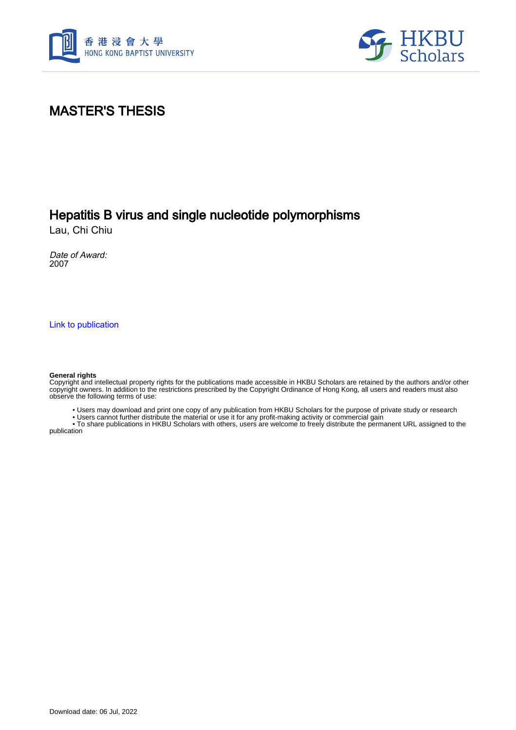



# MASTER'S THESIS

## Hepatitis B virus and single nucleotide polymorphisms

Lau, Chi Chiu

Date of Award: 2007

[Link to publication](https://scholars.hkbu.edu.hk/en/studentTheses/a2d723a5-4dd4-45be-9cc3-34f2f52dd3ad)

#### **General rights**

Copyright and intellectual property rights for the publications made accessible in HKBU Scholars are retained by the authors and/or other copyright owners. In addition to the restrictions prescribed by the Copyright Ordinance of Hong Kong, all users and readers must also observe the following terms of use:

• Users may download and print one copy of any publication from HKBU Scholars for the purpose of private study or research

• Users cannot further distribute the material or use it for any profit-making activity or commercial gain

 • To share publications in HKBU Scholars with others, users are welcome to freely distribute the permanent URL assigned to the publication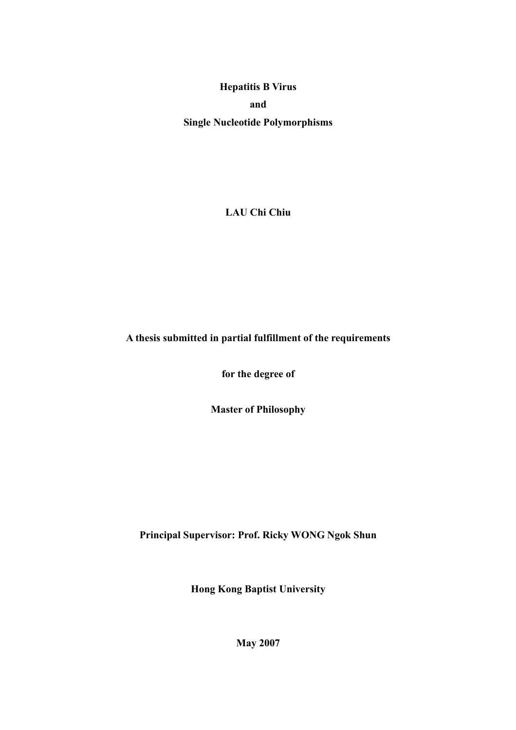**Hepatitis B Virus and Single Nucleotide Polymorphisms** 

**LAU Chi Chiu** 

**A thesis submitted in partial fulfillment of the requirements** 

**for the degree of** 

**Master of Philosophy** 

**Principal Supervisor: Prof. Ricky WONG Ngok Shun** 

**Hong Kong Baptist University** 

**May 2007**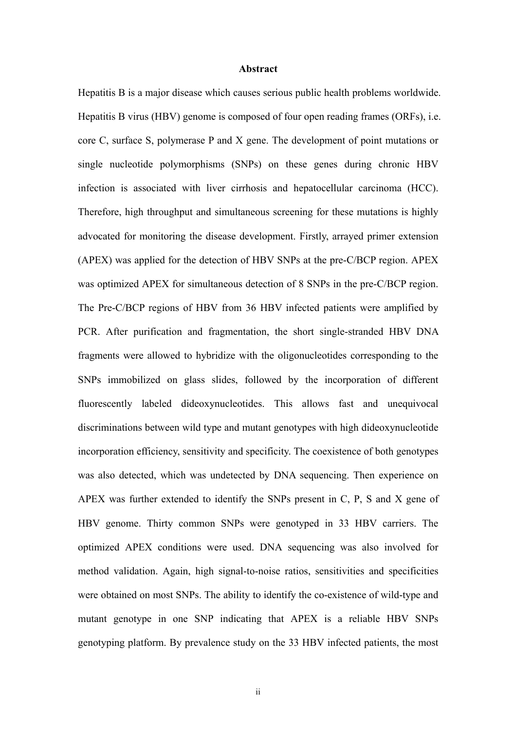### **Abstract**

Hepatitis B is a major disease which causes serious public health problems worldwide. Hepatitis B virus (HBV) genome is composed of four open reading frames (ORFs), i.e. core C, surface S, polymerase P and X gene. The development of point mutations or single nucleotide polymorphisms (SNPs) on these genes during chronic HBV infection is associated with liver cirrhosis and hepatocellular carcinoma (HCC). Therefore, high throughput and simultaneous screening for these mutations is highly advocated for monitoring the disease development. Firstly, arrayed primer extension (APEX) was applied for the detection of HBV SNPs at the pre-C/BCP region. APEX was optimized APEX for simultaneous detection of 8 SNPs in the pre-C/BCP region. The Pre-C/BCP regions of HBV from 36 HBV infected patients were amplified by PCR. After purification and fragmentation, the short single-stranded HBV DNA fragments were allowed to hybridize with the oligonucleotides corresponding to the SNPs immobilized on glass slides, followed by the incorporation of different fluorescently labeled dideoxynucleotides. This allows fast and unequivocal discriminations between wild type and mutant genotypes with high dideoxynucleotide incorporation efficiency, sensitivity and specificity. The coexistence of both genotypes was also detected, which was undetected by DNA sequencing. Then experience on APEX was further extended to identify the SNPs present in C, P, S and X gene of HBV genome. Thirty common SNPs were genotyped in 33 HBV carriers. The optimized APEX conditions were used. DNA sequencing was also involved for method validation. Again, high signal-to-noise ratios, sensitivities and specificities were obtained on most SNPs. The ability to identify the co-existence of wild-type and mutant genotype in one SNP indicating that APEX is a reliable HBV SNPs genotyping platform. By prevalence study on the 33 HBV infected patients, the most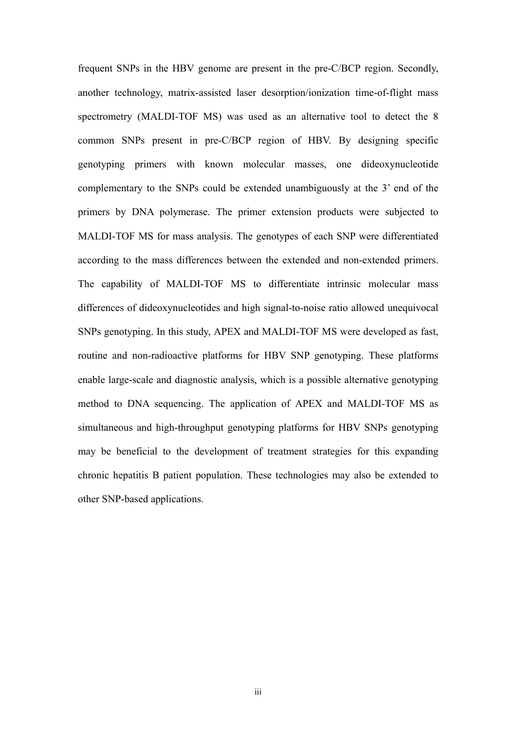frequent SNPs in the HBV genome are present in the pre-C/BCP region. Secondly, another technology, matrix-assisted laser desorption/ionization time-of-flight mass spectrometry (MALDI-TOF MS) was used as an alternative tool to detect the 8 common SNPs present in pre-C/BCP region of HBV. By designing specific genotyping primers with known molecular masses, one dideoxynucleotide complementary to the SNPs could be extended unambiguously at the 3' end of the primers by DNA polymerase. The primer extension products were subjected to MALDI-TOF MS for mass analysis. The genotypes of each SNP were differentiated according to the mass differences between the extended and non-extended primers. The capability of MALDI-TOF MS to differentiate intrinsic molecular mass differences of dideoxynucleotides and high signal-to-noise ratio allowed unequivocal SNPs genotyping. In this study, APEX and MALDI-TOF MS were developed as fast, routine and non-radioactive platforms for HBV SNP genotyping. These platforms enable large-scale and diagnostic analysis, which is a possible alternative genotyping method to DNA sequencing. The application of APEX and MALDI-TOF MS as simultaneous and high-throughput genotyping platforms for HBV SNPs genotyping may be beneficial to the development of treatment strategies for this expanding chronic hepatitis B patient population. These technologies may also be extended to other SNP-based applications.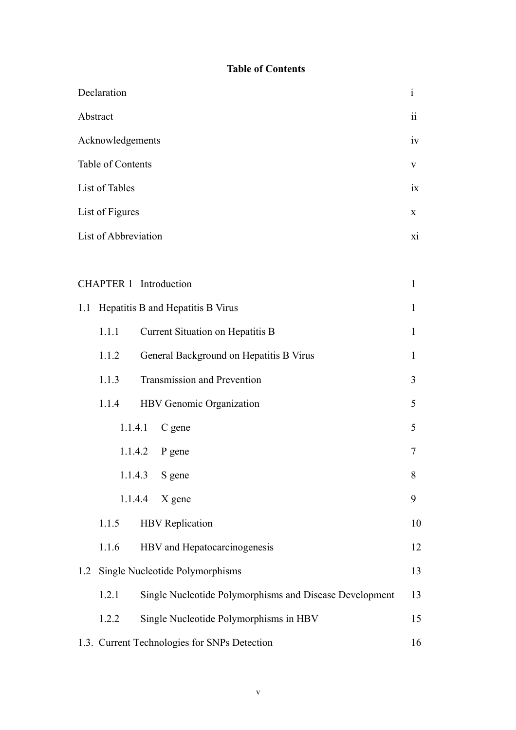### **Table of Contents**

| Declaration                                                      | $\mathbf{i}$ |  |  |
|------------------------------------------------------------------|--------------|--|--|
| Abstract                                                         |              |  |  |
| Acknowledgements                                                 |              |  |  |
| Table of Contents                                                |              |  |  |
| List of Tables                                                   |              |  |  |
| List of Figures                                                  |              |  |  |
| List of Abbreviation                                             | X1           |  |  |
|                                                                  |              |  |  |
| <b>CHAPTER 1</b> Introduction<br>1                               |              |  |  |
| Hepatitis B and Hepatitis B Virus<br>1.1                         | 1            |  |  |
| Current Situation on Hepatitis B<br>1.1.1                        | 1            |  |  |
| General Background on Hepatitis B Virus<br>1.1.2                 | 1            |  |  |
| Transmission and Prevention<br>1.1.3                             | 3            |  |  |
| HBV Genomic Organization<br>1.1.4                                | 5            |  |  |
| 1.1.4.1<br>C gene                                                | 5            |  |  |
| 1.1.4.2<br>P gene                                                | 7            |  |  |
| 1.1.4.3 S gene                                                   | 8            |  |  |
| 1.1.4.4<br>$X$ gene                                              | 9            |  |  |
| <b>HBV</b> Replication<br>1.1.5                                  | 10           |  |  |
| HBV and Hepatocarcinogenesis<br>1.1.6                            | 12           |  |  |
| Single Nucleotide Polymorphisms<br>1.2                           | 13           |  |  |
| Single Nucleotide Polymorphisms and Disease Development<br>1.2.1 | 13           |  |  |
| Single Nucleotide Polymorphisms in HBV<br>1.2.2                  | 15           |  |  |
| 1.3. Current Technologies for SNPs Detection                     | 16           |  |  |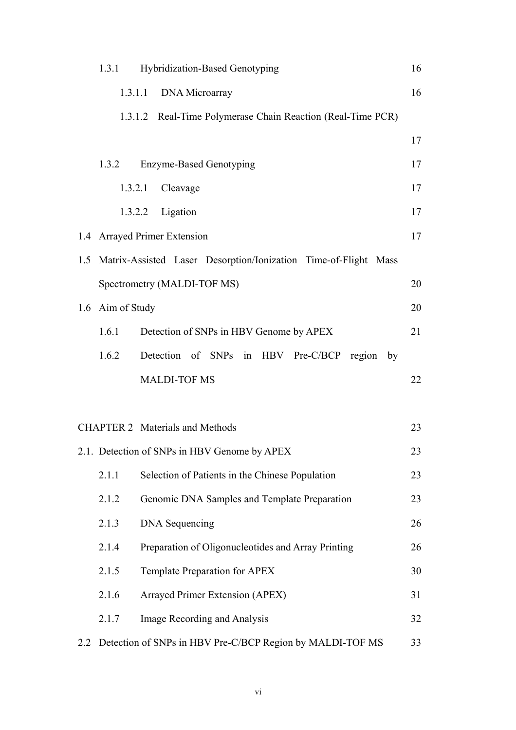|                                              | 1.3.1            | Hybridization-Based Genotyping                                      | 16 |
|----------------------------------------------|------------------|---------------------------------------------------------------------|----|
|                                              | 1.3.1.1          | DNA Microarray                                                      | 16 |
|                                              |                  | 1.3.1.2 Real-Time Polymerase Chain Reaction (Real-Time PCR)         |    |
|                                              |                  |                                                                     | 17 |
|                                              | 1.3.2            | <b>Enzyme-Based Genotyping</b>                                      | 17 |
|                                              | 1.3.2.1          | Cleavage                                                            | 17 |
|                                              |                  | 1.3.2.2 Ligation                                                    | 17 |
|                                              |                  | 1.4 Arrayed Primer Extension                                        | 17 |
|                                              |                  | 1.5 Matrix-Assisted Laser Desorption/Ionization Time-of-Flight Mass |    |
|                                              |                  | Spectrometry (MALDI-TOF MS)                                         | 20 |
|                                              | 1.6 Aim of Study |                                                                     | 20 |
|                                              | 1.6.1            | Detection of SNPs in HBV Genome by APEX                             | 21 |
|                                              | 1.6.2            | Detection of SNPs in HBV Pre-C/BCP region by                        |    |
|                                              |                  | <b>MALDI-TOF MS</b>                                                 | 22 |
|                                              |                  |                                                                     |    |
|                                              |                  | <b>CHAPTER 2</b> Materials and Methods                              | 23 |
| 2.1. Detection of SNPs in HBV Genome by APEX |                  |                                                                     | 23 |
|                                              | 2.1.1            | Selection of Patients in the Chinese Population                     | 23 |
|                                              | 2.1.2            | Genomic DNA Samples and Template Preparation                        | 23 |
|                                              | 2.1.3            | <b>DNA</b> Sequencing                                               | 26 |
|                                              | 2.1.4            | Preparation of Oligonucleotides and Array Printing                  | 26 |
|                                              | 2.1.5            | Template Preparation for APEX                                       | 30 |
|                                              | 2.1.6            | Arrayed Primer Extension (APEX)                                     | 31 |
|                                              | 2.1.7            | Image Recording and Analysis                                        | 32 |
| 2.2                                          |                  | Detection of SNPs in HBV Pre-C/BCP Region by MALDI-TOF MS           | 33 |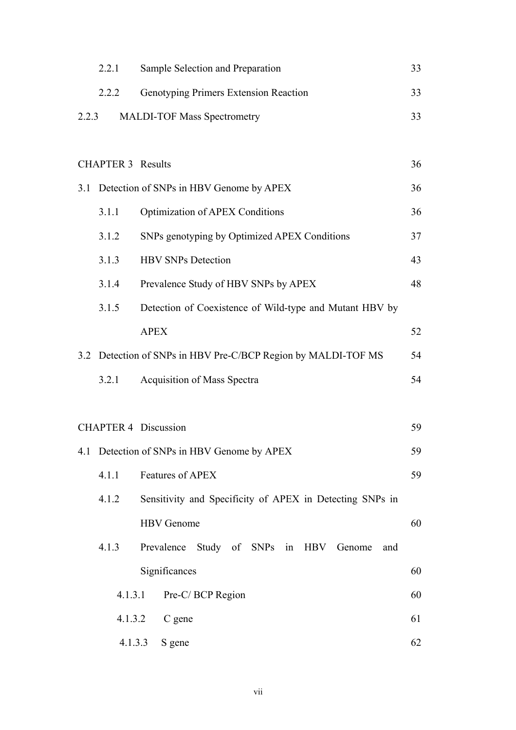|                                   | 2.2.1                    | Sample Selection and Preparation                              | 33 |
|-----------------------------------|--------------------------|---------------------------------------------------------------|----|
|                                   | 2.2.2                    | Genotyping Primers Extension Reaction                         | 33 |
| 2.2.3                             |                          | <b>MALDI-TOF Mass Spectrometry</b>                            | 33 |
|                                   |                          |                                                               |    |
|                                   | <b>CHAPTER 3 Results</b> |                                                               | 36 |
| 3.1                               |                          | Detection of SNPs in HBV Genome by APEX                       | 36 |
|                                   | 3.1.1                    | <b>Optimization of APEX Conditions</b>                        | 36 |
|                                   | 3.1.2                    | SNPs genotyping by Optimized APEX Conditions                  | 37 |
|                                   | 3.1.3                    | <b>HBV SNPs Detection</b>                                     | 43 |
|                                   | 3.1.4                    | Prevalence Study of HBV SNPs by APEX                          | 48 |
|                                   | 3.1.5                    | Detection of Coexistence of Wild-type and Mutant HBV by       |    |
|                                   |                          | <b>APEX</b>                                                   | 52 |
|                                   |                          | 3.2 Detection of SNPs in HBV Pre-C/BCP Region by MALDI-TOF MS | 54 |
|                                   | 3.2.1                    | <b>Acquisition of Mass Spectra</b>                            | 54 |
|                                   |                          |                                                               |    |
| <b>CHAPTER 4 Discussion</b><br>59 |                          |                                                               |    |
|                                   |                          | 4.1 Detection of SNPs in HBV Genome by APEX                   | 59 |
|                                   | 4.1.1                    | Features of APEX                                              | 59 |
|                                   | 4.1.2                    | Sensitivity and Specificity of APEX in Detecting SNPs in      |    |
|                                   |                          | <b>HBV</b> Genome                                             | 60 |
|                                   | 4.1.3                    | Study of SNPs in HBV Genome<br>Prevalence<br>and              |    |
|                                   |                          | Significances                                                 | 60 |
|                                   | 4.1.3.1                  | Pre-C/BCP Region                                              | 60 |
|                                   | 4.1.3.2                  | C gene                                                        | 61 |
|                                   | 4.1.3.3                  | S gene                                                        | 62 |